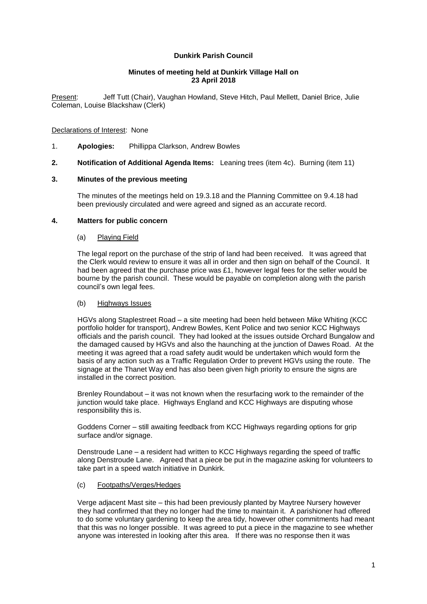# **Dunkirk Parish Council**

### **Minutes of meeting held at Dunkirk Village Hall on 23 April 2018**

Present: Jeff Tutt (Chair), Vaughan Howland, Steve Hitch, Paul Mellett, Daniel Brice, Julie Coleman, Louise Blackshaw (Clerk)

### Declarations of Interest: None

- 1. **Apologies:** Phillippa Clarkson, Andrew Bowles
- **2. Notification of Additional Agenda Items:** Leaning trees (item 4c). Burning (item 11)

### **3. Minutes of the previous meeting**

The minutes of the meetings held on 19.3.18 and the Planning Committee on 9.4.18 had been previously circulated and were agreed and signed as an accurate record.

### **4. Matters for public concern**

### (a) Playing Field

The legal report on the purchase of the strip of land had been received. It was agreed that the Clerk would review to ensure it was all in order and then sign on behalf of the Council. It had been agreed that the purchase price was £1, however legal fees for the seller would be bourne by the parish council. These would be payable on completion along with the parish council's own legal fees.

#### (b) Highways Issues

HGVs along Staplestreet Road – a site meeting had been held between Mike Whiting (KCC portfolio holder for transport), Andrew Bowles, Kent Police and two senior KCC Highways officials and the parish council. They had looked at the issues outside Orchard Bungalow and the damaged caused by HGVs and also the haunching at the junction of Dawes Road. At the meeting it was agreed that a road safety audit would be undertaken which would form the basis of any action such as a Traffic Regulation Order to prevent HGVs using the route. The signage at the Thanet Way end has also been given high priority to ensure the signs are installed in the correct position.

Brenley Roundabout – it was not known when the resurfacing work to the remainder of the junction would take place. Highways England and KCC Highways are disputing whose responsibility this is.

Goddens Corner – still awaiting feedback from KCC Highways regarding options for grip surface and/or signage.

Denstroude Lane – a resident had written to KCC Highways regarding the speed of traffic along Denstroude Lane. Agreed that a piece be put in the magazine asking for volunteers to take part in a speed watch initiative in Dunkirk.

# (c) Footpaths/Verges/Hedges

Verge adjacent Mast site – this had been previously planted by Maytree Nursery however they had confirmed that they no longer had the time to maintain it. A parishioner had offered to do some voluntary gardening to keep the area tidy, however other commitments had meant that this was no longer possible. It was agreed to put a piece in the magazine to see whether anyone was interested in looking after this area. If there was no response then it was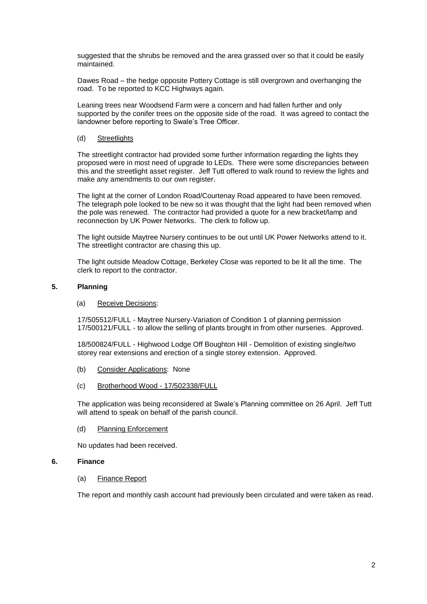suggested that the shrubs be removed and the area grassed over so that it could be easily maintained.

Dawes Road – the hedge opposite Pottery Cottage is still overgrown and overhanging the road. To be reported to KCC Highways again.

Leaning trees near Woodsend Farm were a concern and had fallen further and only supported by the conifer trees on the opposite side of the road. It was agreed to contact the landowner before reporting to Swale's Tree Officer.

#### (d) Streetlights

The streetlight contractor had provided some further information regarding the lights they proposed were in most need of upgrade to LEDs. There were some discrepancies between this and the streetlight asset register. Jeff Tutt offered to walk round to review the lights and make any amendments to our own register.

The light at the corner of London Road/Courtenay Road appeared to have been removed. The telegraph pole looked to be new so it was thought that the light had been removed when the pole was renewed. The contractor had provided a quote for a new bracket/lamp and reconnection by UK Power Networks. The clerk to follow up.

The light outside Maytree Nursery continues to be out until UK Power Networks attend to it. The streetlight contractor are chasing this up.

The light outside Meadow Cottage, Berkeley Close was reported to be lit all the time. The clerk to report to the contractor.

# **5. Planning**

#### (a) Receive Decisions:

17/505512/FULL - Maytree Nursery-Variation of Condition 1 of planning permission 17/500121/FULL - to allow the selling of plants brought in from other nurseries. Approved.

18/500824/FULL - Highwood Lodge Off Boughton Hill - Demolition of existing single/two storey rear extensions and erection of a single storey extension. Approved.

- (b) Consider Applications: None
- (c) Brotherhood Wood 17/502338/FULL

The application was being reconsidered at Swale's Planning committee on 26 April. Jeff Tutt will attend to speak on behalf of the parish council.

(d) Planning Enforcement

No updates had been received.

# **6. Finance**

(a) Finance Report

The report and monthly cash account had previously been circulated and were taken as read.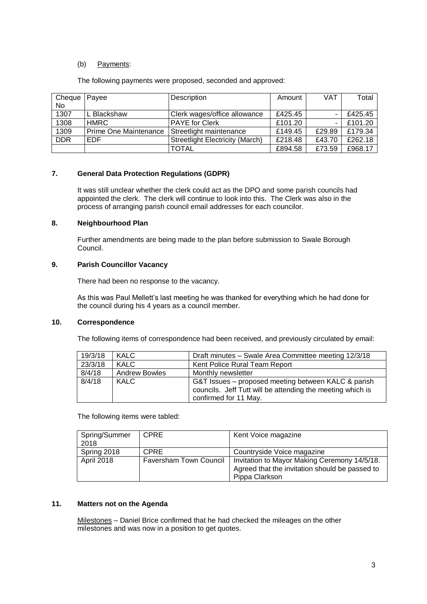# (b) Payments:

The following payments were proposed, seconded and approved:

| Cheque     | Payee                 | Description                            | Amount  | VAT    | Total   |
|------------|-----------------------|----------------------------------------|---------|--------|---------|
| No         |                       |                                        |         |        |         |
| 1307       | L Blackshaw           | Clerk wages/office allowance           | £425.45 |        | £425.45 |
| 1308       | <b>HMRC</b>           | <b>PAYE</b> for Clerk                  | £101.20 |        | £101.20 |
| 1309       | Prime One Maintenance | Streetlight maintenance                | £149.45 | £29.89 | £179.34 |
| <b>DDR</b> | <b>EDF</b>            | <b>Streetlight Electricity (March)</b> | £218.48 | £43.70 | £262.18 |
|            |                       | TOTAL                                  | £894.58 | £73.59 | £968.17 |

# **7. General Data Protection Regulations (GDPR)**

It was still unclear whether the clerk could act as the DPO and some parish councils had appointed the clerk. The clerk will continue to look into this. The Clerk was also in the process of arranging parish council email addresses for each councilor.

# **8. Neighbourhood Plan**

Further amendments are being made to the plan before submission to Swale Borough Council.

# **9. Parish Councillor Vacancy**

There had been no response to the vacancy.

As this was Paul Mellett's last meeting he was thanked for everything which he had done for the council during his 4 years as a council member.

#### **10. Correspondence**

The following items of correspondence had been received, and previously circulated by email:

| 19/3/18 | <b>KALC</b>          | Draft minutes - Swale Area Committee meeting 12/3/18       |  |
|---------|----------------------|------------------------------------------------------------|--|
| 23/3/18 | <b>KALC</b>          | Kent Police Rural Team Report                              |  |
| 8/4/18  | <b>Andrew Bowles</b> | Monthly newsletter                                         |  |
| 8/4/18  | <b>KALC</b>          | G&T Issues – proposed meeting between KALC & parish        |  |
|         |                      | councils. Jeff Tutt will be attending the meeting which is |  |
|         |                      | confirmed for 11 May.                                      |  |

The following items were tabled:

| Spring/Summer<br>2018 | <b>CPRE</b>                   | Kent Voice magazine                                                                                              |
|-----------------------|-------------------------------|------------------------------------------------------------------------------------------------------------------|
| Spring 2018           | <b>CPRE</b>                   | Countryside Voice magazine                                                                                       |
| April 2018            | <b>Faversham Town Council</b> | Invitation to Mayor Making Ceremony 14/5/18.<br>Agreed that the invitation should be passed to<br>Pippa Clarkson |

# **11. Matters not on the Agenda**

Milestones – Daniel Brice confirmed that he had checked the mileages on the other milestones and was now in a position to get quotes.